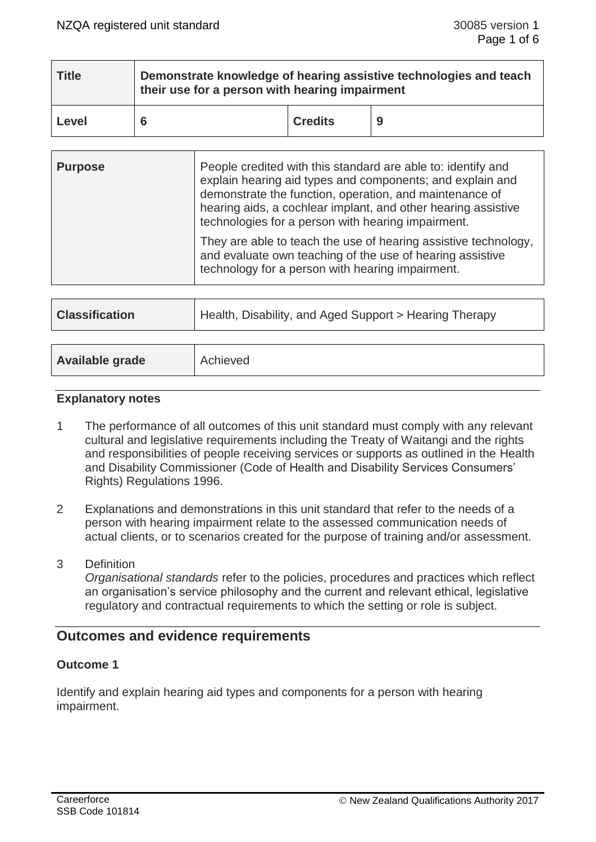| <b>Title</b> | Demonstrate knowledge of hearing assistive technologies and teach<br>their use for a person with hearing impairment |                |   |  |
|--------------|---------------------------------------------------------------------------------------------------------------------|----------------|---|--|
| Level        |                                                                                                                     | <b>Credits</b> | 9 |  |

| <b>Purpose</b> | People credited with this standard are able to: identify and<br>explain hearing aid types and components; and explain and<br>demonstrate the function, operation, and maintenance of<br>hearing aids, a cochlear implant, and other hearing assistive<br>technologies for a person with hearing impairment. |
|----------------|-------------------------------------------------------------------------------------------------------------------------------------------------------------------------------------------------------------------------------------------------------------------------------------------------------------|
|                | They are able to teach the use of hearing assistive technology,<br>and evaluate own teaching of the use of hearing assistive<br>technology for a person with hearing impairment.                                                                                                                            |

| <b>Classification</b><br>Health, Disability, and Aged Support > Hearing Therapy |  |
|---------------------------------------------------------------------------------|--|
|---------------------------------------------------------------------------------|--|

## **Explanatory notes**

- 1 The performance of all outcomes of this unit standard must comply with any relevant cultural and legislative requirements including the Treaty of Waitangi and the rights and responsibilities of people receiving services or supports as outlined in the Health and Disability Commissioner (Code of Health and Disability Services Consumers' Rights) Regulations 1996.
- 2 Explanations and demonstrations in this unit standard that refer to the needs of a person with hearing impairment relate to the assessed communication needs of actual clients, or to scenarios created for the purpose of training and/or assessment.
- 3 Definition

*Organisational standards* refer to the policies, procedures and practices which reflect an organisation's service philosophy and the current and relevant ethical, legislative regulatory and contractual requirements to which the setting or role is subject.

# **Outcomes and evidence requirements**

# **Outcome 1**

Identify and explain hearing aid types and components for a person with hearing impairment.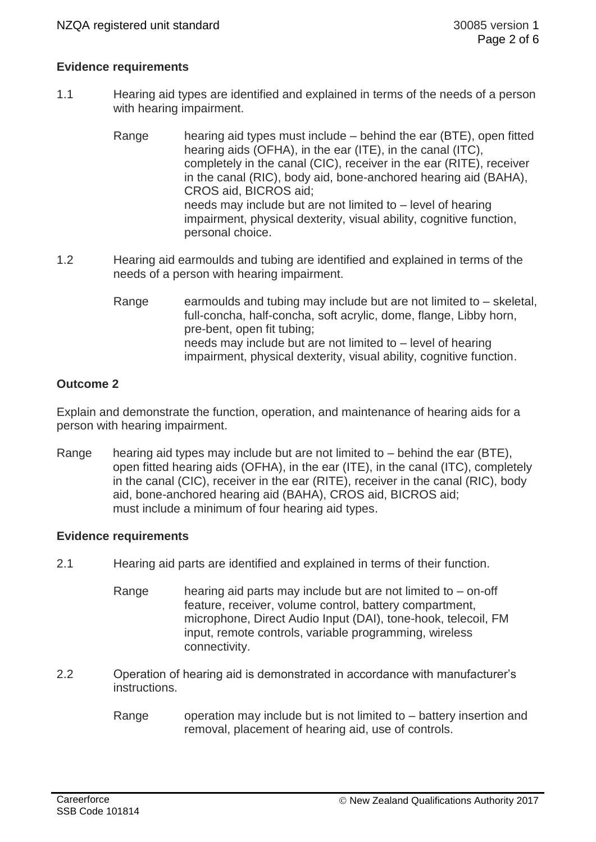# **Evidence requirements**

- 1.1 Hearing aid types are identified and explained in terms of the needs of a person with hearing impairment.
	- Range hearing aid types must include behind the ear (BTE), open fitted hearing aids (OFHA), in the ear (ITE), in the canal (ITC), completely in the canal (CIC), receiver in the ear (RITE), receiver in the canal (RIC), body aid, bone-anchored hearing aid (BAHA), CROS aid, BICROS aid; needs may include but are not limited to – level of hearing impairment, physical dexterity, visual ability, cognitive function, personal choice.
- 1.2 Hearing aid earmoulds and tubing are identified and explained in terms of the needs of a person with hearing impairment.
	- Range earmoulds and tubing may include but are not limited to  $-$  skeletal, full-concha, half-concha, soft acrylic, dome, flange, Libby horn, pre-bent, open fit tubing; needs may include but are not limited to – level of hearing impairment, physical dexterity, visual ability, cognitive function.

## **Outcome 2**

Explain and demonstrate the function, operation, and maintenance of hearing aids for a person with hearing impairment.

Range hearing aid types may include but are not limited to  $-$  behind the ear (BTE), open fitted hearing aids (OFHA), in the ear (ITE), in the canal (ITC), completely in the canal (CIC), receiver in the ear (RITE), receiver in the canal (RIC), body aid, bone-anchored hearing aid (BAHA), CROS aid, BICROS aid; must include a minimum of four hearing aid types.

#### **Evidence requirements**

- 2.1 Hearing aid parts are identified and explained in terms of their function.
	- Range hearing aid parts may include but are not limited to on-off feature, receiver, volume control, battery compartment, microphone, Direct Audio Input (DAI), tone-hook, telecoil, FM input, remote controls, variable programming, wireless connectivity.
- 2.2 Operation of hearing aid is demonstrated in accordance with manufacturer's instructions.
	- Range operation may include but is not limited to battery insertion and removal, placement of hearing aid, use of controls.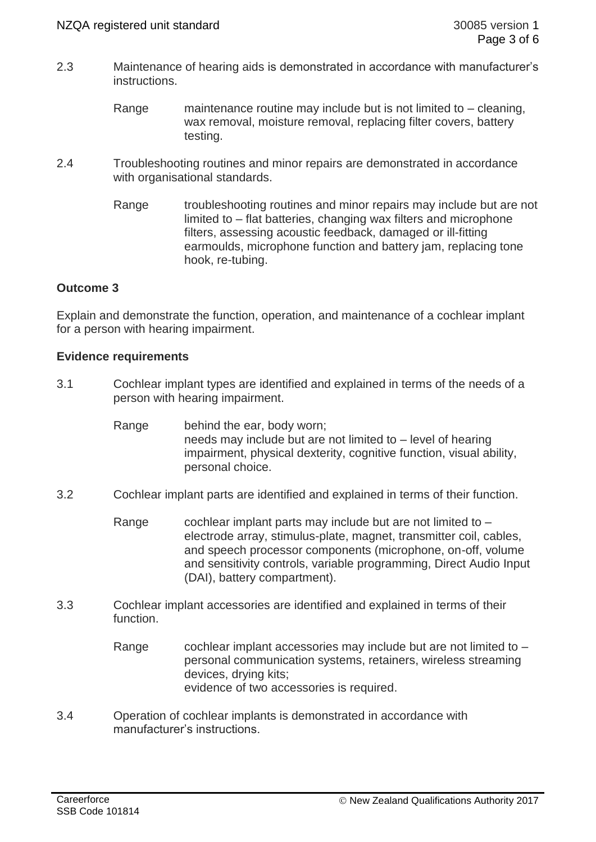- 2.3 Maintenance of hearing aids is demonstrated in accordance with manufacturer's instructions.
	- Range maintenance routine may include but is not limited to cleaning, wax removal, moisture removal, replacing filter covers, battery testing.
- 2.4 Troubleshooting routines and minor repairs are demonstrated in accordance with organisational standards.
	- Range troubleshooting routines and minor repairs may include but are not limited to – flat batteries, changing wax filters and microphone filters, assessing acoustic feedback, damaged or ill-fitting earmoulds, microphone function and battery jam, replacing tone hook, re-tubing.

# **Outcome 3**

Explain and demonstrate the function, operation, and maintenance of a cochlear implant for a person with hearing impairment.

## **Evidence requirements**

- 3.1 Cochlear implant types are identified and explained in terms of the needs of a person with hearing impairment.
	- Range behind the ear, body worn; needs may include but are not limited to – level of hearing impairment, physical dexterity, cognitive function, visual ability, personal choice.
- 3.2 Cochlear implant parts are identified and explained in terms of their function.
	- Range cochlear implant parts may include but are not limited to electrode array, stimulus-plate, magnet, transmitter coil, cables, and speech processor components (microphone, on-off, volume and sensitivity controls, variable programming, Direct Audio Input (DAI), battery compartment).
- 3.3 Cochlear implant accessories are identified and explained in terms of their function.
	- Range cochlear implant accessories may include but are not limited to  $$ personal communication systems, retainers, wireless streaming devices, drying kits; evidence of two accessories is required.
- 3.4 Operation of cochlear implants is demonstrated in accordance with manufacturer's instructions.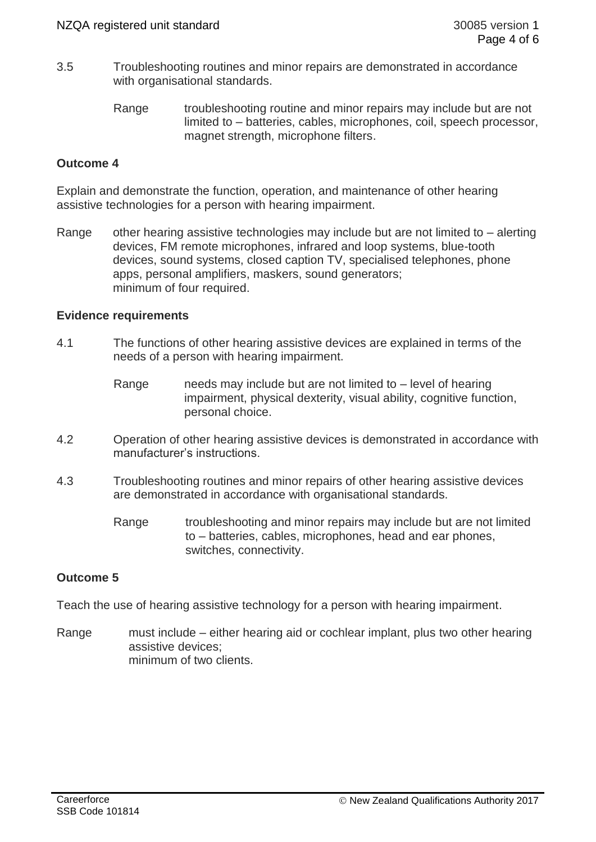- 3.5 Troubleshooting routines and minor repairs are demonstrated in accordance with organisational standards.
	- Range troubleshooting routine and minor repairs may include but are not limited to – batteries, cables, microphones, coil, speech processor, magnet strength, microphone filters.

# **Outcome 4**

Explain and demonstrate the function, operation, and maintenance of other hearing assistive technologies for a person with hearing impairment.

Range other hearing assistive technologies may include but are not limited to – alerting devices, FM remote microphones, infrared and loop systems, blue-tooth devices, sound systems, closed caption TV, specialised telephones, phone apps, personal amplifiers, maskers, sound generators; minimum of four required.

# **Evidence requirements**

- 4.1 The functions of other hearing assistive devices are explained in terms of the needs of a person with hearing impairment.
	- Range meeds may include but are not limited to level of hearing impairment, physical dexterity, visual ability, cognitive function, personal choice.
- 4.2 Operation of other hearing assistive devices is demonstrated in accordance with manufacturer's instructions.
- 4.3 Troubleshooting routines and minor repairs of other hearing assistive devices are demonstrated in accordance with organisational standards.
	- Range troubleshooting and minor repairs may include but are not limited to – batteries, cables, microphones, head and ear phones, switches, connectivity.

# **Outcome 5**

Teach the use of hearing assistive technology for a person with hearing impairment.

Range must include – either hearing aid or cochlear implant, plus two other hearing assistive devices; minimum of two clients.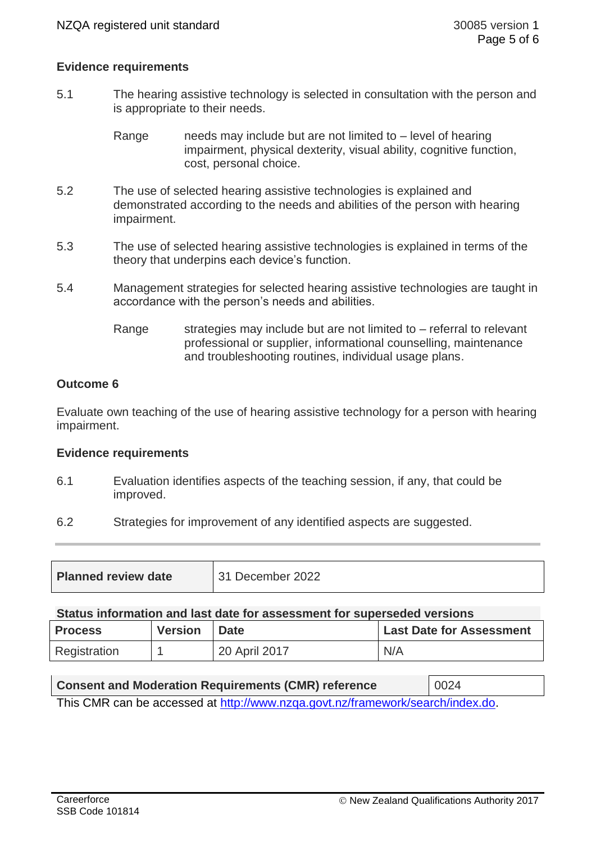## **Evidence requirements**

5.1 The hearing assistive technology is selected in consultation with the person and is appropriate to their needs.

> Range needs may include but are not limited to – level of hearing impairment, physical dexterity, visual ability, cognitive function, cost, personal choice.

- 5.2 The use of selected hearing assistive technologies is explained and demonstrated according to the needs and abilities of the person with hearing impairment.
- 5.3 The use of selected hearing assistive technologies is explained in terms of the theory that underpins each device's function.
- 5.4 Management strategies for selected hearing assistive technologies are taught in accordance with the person's needs and abilities.
	- Range strategies may include but are not limited to  $-$  referral to relevant professional or supplier, informational counselling, maintenance and troubleshooting routines, individual usage plans.

## **Outcome 6**

Evaluate own teaching of the use of hearing assistive technology for a person with hearing impairment.

#### **Evidence requirements**

- 6.1 Evaluation identifies aspects of the teaching session, if any, that could be improved.
- 6.2 Strategies for improvement of any identified aspects are suggested.

| <b>Planned review date</b> | 31 December 2022 |
|----------------------------|------------------|
|----------------------------|------------------|

#### **Status information and last date for assessment for superseded versions**

| <b>Process</b> | <b>Version</b> | <b>Date</b>   | <b>Last Date for Assessment</b> |
|----------------|----------------|---------------|---------------------------------|
| Registration   |                | 20 April 2017 | N/A                             |

| <b>Consent and Moderation Requirements (CMR) reference</b>                     | $\big  0024$ |  |  |
|--------------------------------------------------------------------------------|--------------|--|--|
| This CMR can be accessed at http://www.nzga.govt.nz/framework/search/index.do. |              |  |  |